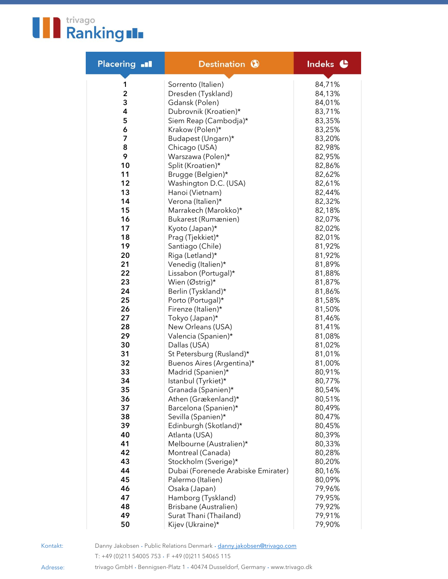

| <b>Placering all</b> | Destination <b>O</b>                      | Indeks <sup>C</sup> |
|----------------------|-------------------------------------------|---------------------|
| 1                    | Sorrento (Italien)                        | 84,71%              |
| 2                    | Dresden (Tyskland)                        | 84,13%              |
| 3                    | Gdansk (Polen)                            | 84,01%              |
| 4                    | Dubrovnik (Kroatien)*                     | 83,71%              |
| 5                    | Siem Reap (Cambodja)*                     | 83,35%              |
| 6                    | Krakow (Polen)*                           | 83,25%              |
| 7                    | Budapest (Ungarn)*                        | 83,20%              |
| 8                    | Chicago (USA)                             | 82,98%              |
| 9                    | Warszawa (Polen)*                         | 82,95%              |
| 10                   | Split (Kroatien)*                         | 82,86%              |
| 11                   | Brugge (Belgien)*                         | 82,62%              |
| 12                   | Washington D.C. (USA)                     | 82,61%              |
| 13                   | Hanoi (Vietnam)                           | 82,44%              |
| 14                   | Verona (Italien)*                         | 82,32%              |
| 15                   | Marrakech (Marokko)*                      | 82,18%              |
| 16                   | Bukarest (Rumænien)                       | 82,07%              |
| 17                   | Kyoto (Japan)*                            | 82,02%              |
| 18                   | Prag (Tjekkiet)*                          | 82,01%              |
| 19                   | Santiago (Chile)                          | 81,92%              |
| 20                   | Riga (Letland)*                           | 81,92%              |
| 21                   | Venedig (Italien)*                        | 81,89%              |
| 22                   | Lissabon (Portugal)*                      | 81,88%              |
| 23                   | Wien (Østrig)*                            | 81,87%              |
| 24                   | Berlin (Tyskland)*                        | 81,86%              |
| 25                   | Porto (Portugal)*                         | 81,58%              |
| 26                   | Firenze (Italien)*                        | 81,50%              |
| 27                   | Tokyo (Japan)*                            | 81,46%              |
| 28                   | New Orleans (USA)                         | 81,41%              |
| 29                   | Valencia (Spanien)*                       | 81,08%              |
| 30                   | Dallas (USA)                              | 81,02%              |
| 31                   | St Petersburg (Rusland)*                  | 81,01%              |
| 32                   | Buenos Aires (Argentina)*                 | 81,00%              |
| 33                   | Madrid (Spanien)*                         | 80,91%              |
| 34<br>35             | Istanbul (Tyrkiet)*                       | 80,77%              |
| 36                   | Granada (Spanien)*<br>Athen (Grækenland)* | 80,54%<br>80,51%    |
| 37                   | Barcelona (Spanien)*                      | 80,49%              |
| 38                   | Sevilla (Spanien)*                        | 80,47%              |
| 39                   | Edinburgh (Skotland)*                     | 80,45%              |
| 40                   | Atlanta (USA)                             | 80,39%              |
| 41                   | Melbourne (Australien)*                   | 80,33%              |
| 42                   | Montreal (Canada)                         | 80,28%              |
| 43                   | Stockholm (Sverige)*                      | 80,20%              |
| 44                   | Dubai (Forenede Arabiske Emirater)        | 80,16%              |
| 45                   | Palermo (Italien)                         | 80,09%              |
| 46                   | Osaka (Japan)                             | 79,96%              |
| 47                   | Hamborg (Tyskland)                        | 79,95%              |
| 48                   | Brisbane (Australien)                     | 79,92%              |
| 49                   | Surat Thani (Thailand)                    | 79,91%              |
| 50                   | Kijev (Ukraine)*                          | 79,90%              |

Kontakt:

Danny Jakobsen . Public Relations Denmark . [danny.jakobsen@trivago.com](mailto:danny.jakobsen@trivago.com) T: +49 (0)211 54005 753 . F +49 (0)211 54065 115

trivago GmbH . Bennigsen-Platz 1 . <sup>40474</sup> Dusseldorf, Germany . www.trivago.dk